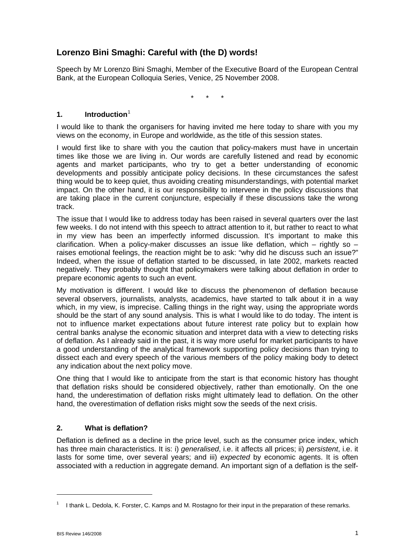# **Lorenzo Bini Smaghi: Careful with (the D) words!**

Speech by Mr Lorenzo Bini Smaghi, Member of the Executive Board of the European Central Bank, at the European Colloquia Series, Venice, 25 November 2008.

\* \* \*

## **1. Introduction**[1](#page-0-0)

I would like to thank the organisers for having invited me here today to share with you my views on the economy, in Europe and worldwide, as the title of this session states.

I would first like to share with you the caution that policy-makers must have in uncertain times like those we are living in. Our words are carefully listened and read by economic agents and market participants, who try to get a better understanding of economic developments and possibly anticipate policy decisions. In these circumstances the safest thing would be to keep quiet, thus avoiding creating misunderstandings, with potential market impact. On the other hand, it is our responsibility to intervene in the policy discussions that are taking place in the current conjuncture, especially if these discussions take the wrong track.

The issue that I would like to address today has been raised in several quarters over the last few weeks. I do not intend with this speech to attract attention to it, but rather to react to what in my view has been an imperfectly informed discussion. It's important to make this clarification. When a policy-maker discusses an issue like deflation, which – rightly so – raises emotional feelings, the reaction might be to ask: "why did he discuss such an issue?" Indeed, when the issue of deflation started to be discussed, in late 2002, markets reacted negatively. They probably thought that policymakers were talking about deflation in order to prepare economic agents to such an event.

My motivation is different. I would like to discuss the phenomenon of deflation because several observers, journalists, analysts, academics, have started to talk about it in a way which, in my view, is imprecise. Calling things in the right way, using the appropriate words should be the start of any sound analysis. This is what I would like to do today. The intent is not to influence market expectations about future interest rate policy but to explain how central banks analyse the economic situation and interpret data with a view to detecting risks of deflation. As I already said in the past, it is way more useful for market participants to have a good understanding of the analytical framework supporting policy decisions than trying to dissect each and every speech of the various members of the policy making body to detect any indication about the next policy move.

One thing that I would like to anticipate from the start is that economic history has thought that deflation risks should be considered objectively, rather than emotionally. On the one hand, the underestimation of deflation risks might ultimately lead to deflation. On the other hand, the overestimation of deflation risks might sow the seeds of the next crisis.

### **2. What is deflation?**

Deflation is defined as a decline in the price level, such as the consumer price index, which has three main characteristics. It is: i) *generalised*, i.e. it affects all prices; ii) *persistent*, i.e. it lasts for some time, over several years; and iii) *expected* by economic agents. It is often associated with a reduction in aggregate demand. An important sign of a deflation is the self-

-

<span id="page-0-0"></span><sup>1</sup> I thank L. Dedola, K. Forster, C. Kamps and M. Rostagno for their input in the preparation of these remarks.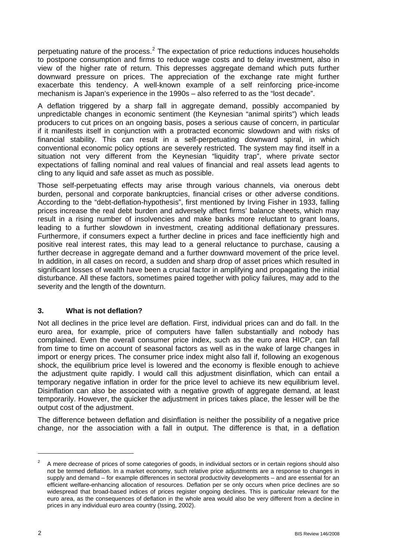perpetuating nature of the process.<sup>[2](#page-1-0)</sup> The expectation of price reductions induces households to postpone consumption and firms to reduce wage costs and to delay investment, also in view of the higher rate of return. This depresses aggregate demand which puts further downward pressure on prices. The appreciation of the exchange rate might further exacerbate this tendency. A well-known example of a self reinforcing price-income mechanism is Japan's experience in the 1990s – also referred to as the "lost decade".

A deflation triggered by a sharp fall in aggregate demand, possibly accompanied by unpredictable changes in economic sentiment (the Keynesian "animal spirits") which leads producers to cut prices on an ongoing basis, poses a serious cause of concern, in particular if it manifests itself in conjunction with a protracted economic slowdown and with risks of financial stability. This can result in a self-perpetuating downward spiral, in which conventional economic policy options are severely restricted. The system may find itself in a situation not very different from the Keynesian "liquidity trap", where private sector expectations of falling nominal and real values of financial and real assets lead agents to cling to any liquid and safe asset as much as possible.

Those self-perpetuating effects may arise through various channels, via onerous debt burden, personal and corporate bankruptcies, financial crises or other adverse conditions. According to the "debt-deflation-hypothesis", first mentioned by Irving Fisher in 1933, falling prices increase the real debt burden and adversely affect firms' balance sheets, which may result in a rising number of insolvencies and make banks more reluctant to grant loans, leading to a further slowdown in investment, creating additional deflationary pressures. Furthermore, if consumers expect a further decline in prices and face inefficiently high and positive real interest rates, this may lead to a general reluctance to purchase, causing a further decrease in aggregate demand and a further downward movement of the price level. In addition, in all cases on record, a sudden and sharp drop of asset prices which resulted in significant losses of wealth have been a crucial factor in amplifying and propagating the initial disturbance. All these factors, sometimes paired together with policy failures, may add to the severity and the length of the downturn.

### **3. What is not deflation?**

Not all declines in the price level are deflation. First, individual prices can and do fall. In the euro area, for example, price of computers have fallen substantially and nobody has complained. Even the overall consumer price index, such as the euro area HICP, can fall from time to time on account of seasonal factors as well as in the wake of large changes in import or energy prices. The consumer price index might also fall if, following an exogenous shock, the equilibrium price level is lowered and the economy is flexible enough to achieve the adjustment quite rapidly. I would call this adjustment disinflation, which can entail a temporary negative inflation in order for the price level to achieve its new equilibrium level. Disinflation can also be associated with a negative growth of aggregate demand, at least temporarily. However, the quicker the adjustment in prices takes place, the lesser will be the output cost of the adjustment.

The difference between deflation and disinflation is neither the possibility of a negative price change, nor the association with a fall in output. The difference is that, in a deflation

<span id="page-1-0"></span><sup>2</sup> A mere decrease of prices of some categories of goods, in individual sectors or in certain regions should also not be termed deflation. In a market economy, such relative price adjustments are a response to changes in supply and demand – for example differences in sectoral productivity developments – and are essential for an efficient welfare-enhancing allocation of resources. Deflation per se only occurs when price declines are so widespread that broad-based indices of prices register ongoing declines. This is particular relevant for the euro area, as the consequences of deflation in the whole area would also be very different from a decline in prices in any individual euro area country (Issing, 2002).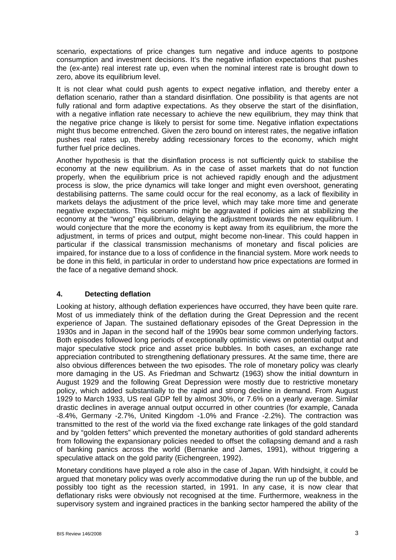scenario, expectations of price changes turn negative and induce agents to postpone consumption and investment decisions. It's the negative inflation expectations that pushes the (ex-ante) real interest rate up, even when the nominal interest rate is brought down to zero, above its equilibrium level.

It is not clear what could push agents to expect negative inflation, and thereby enter a deflation scenario, rather than a standard disinflation. One possibility is that agents are not fully rational and form adaptive expectations. As they observe the start of the disinflation, with a negative inflation rate necessary to achieve the new equilibrium, they may think that the negative price change is likely to persist for some time. Negative inflation expectations might thus become entrenched. Given the zero bound on interest rates, the negative inflation pushes real rates up, thereby adding recessionary forces to the economy, which might further fuel price declines.

Another hypothesis is that the disinflation process is not sufficiently quick to stabilise the economy at the new equilibrium. As in the case of asset markets that do not function properly, when the equilibrium price is not achieved rapidly enough and the adjustment process is slow, the price dynamics will take longer and might even overshoot, generating destabilising patterns. The same could occur for the real economy, as a lack of flexibility in markets delays the adjustment of the price level, which may take more time and generate negative expectations. This scenario might be aggravated if policies aim at stabilizing the economy at the "wrong" equilibrium, delaying the adjustment towards the new equilibrium. I would conjecture that the more the economy is kept away from its equilibrium, the more the adjustment, in terms of prices and output, might become non-linear. This could happen in particular if the classical transmission mechanisms of monetary and fiscal policies are impaired, for instance due to a loss of confidence in the financial system. More work needs to be done in this field, in particular in order to understand how price expectations are formed in the face of a negative demand shock.

## **4. Detecting deflation**

Looking at history, although deflation experiences have occurred, they have been quite rare. Most of us immediately think of the deflation during the Great Depression and the recent experience of Japan. The sustained deflationary episodes of the Great Depression in the 1930s and in Japan in the second half of the 1990s bear some common underlying factors. Both episodes followed long periods of exceptionally optimistic views on potential output and major speculative stock price and asset price bubbles. In both cases, an exchange rate appreciation contributed to strengthening deflationary pressures. At the same time, there are also obvious differences between the two episodes. The role of monetary policy was clearly more damaging in the US. As Friedman and Schwartz (1963) show the initial downturn in August 1929 and the following Great Depression were mostly due to restrictive monetary policy, which added substantially to the rapid and strong decline in demand. From August 1929 to March 1933, US real GDP fell by almost 30%, or 7.6% on a yearly average. Similar drastic declines in average annual output occurred in other countries (for example, Canada -8.4%, Germany -2.7%, United Kingdom -1.0% and France -2.2%). The contraction was transmitted to the rest of the world via the fixed exchange rate linkages of the gold standard and by "golden fetters" which prevented the monetary authorities of gold standard adherents from following the expansionary policies needed to offset the collapsing demand and a rash of banking panics across the world (Bernanke and James, 1991), without triggering a speculative attack on the gold parity (Eichengreen, 1992).

Monetary conditions have played a role also in the case of Japan. With hindsight, it could be argued that monetary policy was overly accommodative during the run up of the bubble, and possibly too tight as the recession started, in 1991. In any case, it is now clear that deflationary risks were obviously not recognised at the time. Furthermore, weakness in the supervisory system and ingrained practices in the banking sector hampered the ability of the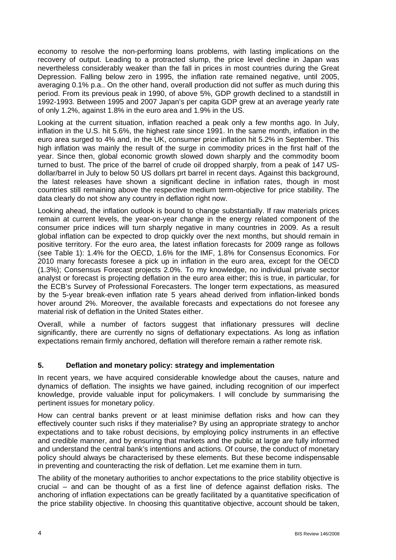economy to resolve the non-performing loans problems, with lasting implications on the recovery of output. Leading to a protracted slump, the price level decline in Japan was nevertheless considerably weaker than the fall in prices in most countries during the Great Depression. Falling below zero in 1995, the inflation rate remained negative, until 2005, averaging 0.1% p.a.. On the other hand, overall production did not suffer as much during this period. From its previous peak in 1990, of above 5%, GDP growth declined to a standstill in 1992-1993. Between 1995 and 2007 Japan's per capita GDP grew at an average yearly rate of only 1.2%, against 1.8% in the euro area and 1.9% in the US.

Looking at the current situation, inflation reached a peak only a few months ago. In July, inflation in the U.S. hit 5.6%, the highest rate since 1991. In the same month, inflation in the euro area surged to 4% and, in the UK, consumer price inflation hit 5.2% in September. This high inflation was mainly the result of the surge in commodity prices in the first half of the year. Since then, global economic growth slowed down sharply and the commodity boom turned to bust. The price of the barrel of crude oil dropped sharply, from a peak of 147 USdollar/barrel in July to below 50 US dollars prt barrel in recent days. Against this background, the latest releases have shown a significant decline in inflation rates, though in most countries still remaining above the respective medium term-objective for price stability. The data clearly do not show any country in deflation right now.

Looking ahead, the inflation outlook is bound to change substantially. If raw materials prices remain at current levels, the year-on-year change in the energy related component of the consumer price indices will turn sharply negative in many countries in 2009. As a result global inflation can be expected to drop quickly over the next months, but should remain in positive territory. For the euro area, the latest inflation forecasts for 2009 range as follows (see Table 1): 1.4% for the OECD, 1.6% for the IMF, 1.8% for Consensus Economics. For 2010 many forecasts foresee a pick up in inflation in the euro area, except for the OECD (1.3%); Consensus Forecast projects 2.0%. To my knowledge, no individual private sector analyst or forecast is projecting deflation in the euro area either; this is true, in particular, for the ECB's Survey of Professional Forecasters. The longer term expectations, as measured by the 5-year break-even inflation rate 5 years ahead derived from inflation-linked bonds hover around 2%. Moreover, the available forecasts and expectations do not foresee any material risk of deflation in the United States either.

Overall, while a number of factors suggest that inflationary pressures will decline significantly, there are currently no signs of deflationary expectations. As long as inflation expectations remain firmly anchored, deflation will therefore remain a rather remote risk.

### **5. Deflation and monetary policy: strategy and implementation**

In recent years, we have acquired considerable knowledge about the causes, nature and dynamics of deflation. The insights we have gained, including recognition of our imperfect knowledge, provide valuable input for policymakers. I will conclude by summarising the pertinent issues for monetary policy.

How can central banks prevent or at least minimise deflation risks and how can they effectively counter such risks if they materialise? By using an appropriate strategy to anchor expectations and to take robust decisions, by employing policy instruments in an effective and credible manner, and by ensuring that markets and the public at large are fully informed and understand the central bank's intentions and actions. Of course, the conduct of monetary policy should always be characterised by these elements. But these become indispensable in preventing and counteracting the risk of deflation. Let me examine them in turn.

The ability of the monetary authorities to anchor expectations to the price stability objective is crucial – and can be thought of as a first line of defence against deflation risks. The anchoring of inflation expectations can be greatly facilitated by a quantitative specification of the price stability objective. In choosing this quantitative objective, account should be taken,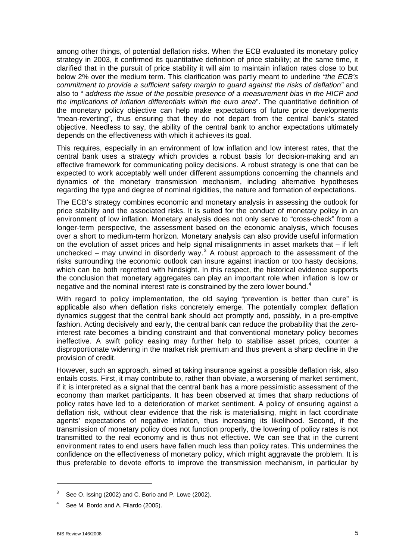among other things, of potential deflation risks. When the ECB evaluated its monetary policy strategy in 2003, it confirmed its quantitative definition of price stability; at the same time, it clarified that in the pursuit of price stability it will aim to maintain inflation rates close to but below 2% over the medium term. This clarification was partly meant to underline *"the ECB's commitment to provide a sufficient safety margin to guard against the risks of deflation"* and also to " *address the issue of the possible presence of a measurement bias in the HICP and the implications of inflation differentials within the euro area*". The quantitative definition of the monetary policy objective can help make expectations of future price developments "mean-reverting", thus ensuring that they do not depart from the central bank's stated objective. Needless to say, the ability of the central bank to anchor expectations ultimately depends on the effectiveness with which it achieves its goal.

This requires, especially in an environment of low inflation and low interest rates, that the central bank uses a strategy which provides a robust basis for decision-making and an effective framework for communicating policy decisions. A robust strategy is one that can be expected to work acceptably well under different assumptions concerning the channels and dynamics of the monetary transmission mechanism, including alternative hypotheses regarding the type and degree of nominal rigidities, the nature and formation of expectations.

The ECB's strategy combines economic and monetary analysis in assessing the outlook for price stability and the associated risks. It is suited for the conduct of monetary policy in an environment of low inflation. Monetary analysis does not only serve to "cross-check" from a longer-term perspective, the assessment based on the economic analysis, which focuses over a short to medium-term horizon. Monetary analysis can also provide useful information on the evolution of asset prices and help signal misalignments in asset markets that – if left unchecked – may unwind in disorderly way.<sup>[3](#page-4-0)</sup> A robust approach to the assessment of the risks surrounding the economic outlook can insure against inaction or too hasty decisions, which can be both regretted with hindsight. In this respect, the historical evidence supports the conclusion that monetary aggregates can play an important role when inflation is low or negative and the nominal interest rate is constrained by the zero lower bound.<sup>[4](#page-4-1)</sup>

With regard to policy implementation, the old saying "prevention is better than cure" is applicable also when deflation risks concretely emerge. The potentially complex deflation dynamics suggest that the central bank should act promptly and, possibly, in a pre-emptive fashion. Acting decisively and early, the central bank can reduce the probability that the zerointerest rate becomes a binding constraint and that conventional monetary policy becomes ineffective. A swift policy easing may further help to stabilise asset prices, counter a disproportionate widening in the market risk premium and thus prevent a sharp decline in the provision of credit.

However, such an approach, aimed at taking insurance against a possible deflation risk, also entails costs. First, it may contribute to, rather than obviate, a worsening of market sentiment, if it is interpreted as a signal that the central bank has a more pessimistic assessment of the economy than market participants. It has been observed at times that sharp reductions of policy rates have led to a deterioration of market sentiment. A policy of ensuring against a deflation risk, without clear evidence that the risk is materialising, might in fact coordinate agents' expectations of negative inflation, thus increasing its likelihood. Second, if the transmission of monetary policy does not function properly, the lowering of policy rates is not transmitted to the real economy and is thus not effective. We can see that in the current environment rates to end users have fallen much less than policy rates. This undermines the confidence on the effectiveness of monetary policy, which might aggravate the problem. It is thus preferable to devote efforts to improve the transmission mechanism, in particular by

1

<span id="page-4-0"></span><sup>3</sup> See O. Issing (2002) and C. Borio and P. Lowe (2002).

<span id="page-4-1"></span><sup>4</sup> See M. Bordo and A. Filardo (2005).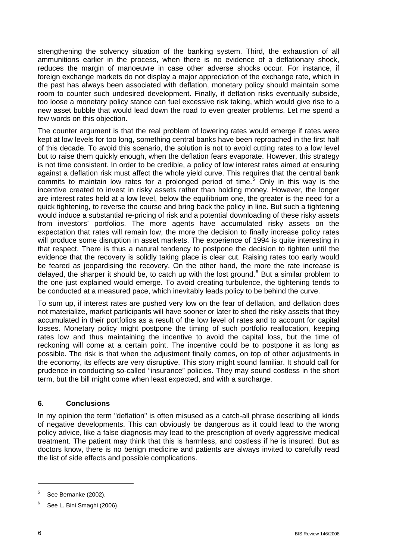strengthening the solvency situation of the banking system. Third, the exhaustion of all ammunitions earlier in the process, when there is no evidence of a deflationary shock, reduces the margin of manoeuvre in case other adverse shocks occur. For instance, if foreign exchange markets do not display a major appreciation of the exchange rate, which in the past has always been associated with deflation, monetary policy should maintain some room to counter such undesired development. Finally, if deflation risks eventually subside, too loose a monetary policy stance can fuel excessive risk taking, which would give rise to a new asset bubble that would lead down the road to even greater problems. Let me spend a few words on this objection.

The counter argument is that the real problem of lowering rates would emerge if rates were kept at low levels for too long, something central banks have been reproached in the first half of this decade. To avoid this scenario, the solution is not to avoid cutting rates to a low level but to raise them quickly enough, when the deflation fears evaporate. However, this strategy is not time consistent. In order to be credible, a policy of low interest rates aimed at ensuring against a deflation risk must affect the whole yield curve. This requires that the central bank commits to maintain low rates for a prolonged period of time.<sup>[5](#page-5-0)</sup> Only in this way is the incentive created to invest in risky assets rather than holding money. However, the longer are interest rates held at a low level, below the equilibrium one, the greater is the need for a quick tightening, to reverse the course and bring back the policy in line. But such a tightening would induce a substantial re-pricing of risk and a potential downloading of these risky assets from investors' portfolios. The more agents have accumulated risky assets on the expectation that rates will remain low, the more the decision to finally increase policy rates will produce some disruption in asset markets. The experience of 1994 is quite interesting in that respect. There is thus a natural tendency to postpone the decision to tighten until the evidence that the recovery is solidly taking place is clear cut. Raising rates too early would be feared as jeopardising the recovery. On the other hand, the more the rate increase is delayed, the sharper it should be, to catch up with the lost ground.<sup>[6](#page-5-1)</sup> But a similar problem to the one just explained would emerge. To avoid creating turbulence, the tightening tends to be conducted at a measured pace, which inevitably leads policy to be behind the curve.

To sum up, if interest rates are pushed very low on the fear of deflation, and deflation does not materialize, market participants will have sooner or later to shed the risky assets that they accumulated in their portfolios as a result of the low level of rates and to account for capital losses. Monetary policy might postpone the timing of such portfolio reallocation, keeping rates low and thus maintaining the incentive to avoid the capital loss, but the time of reckoning will come at a certain point. The incentive could be to postpone it as long as possible. The risk is that when the adjustment finally comes, on top of other adjustments in the economy, its effects are very disruptive. This story might sound familiar. It should call for prudence in conducting so-called "insurance" policies. They may sound costless in the short term, but the bill might come when least expected, and with a surcharge.

### **6. Conclusions**

In my opinion the term "deflation" is often misused as a catch-all phrase describing all kinds of negative developments. This can obviously be dangerous as it could lead to the wrong policy advice, like a false diagnosis may lead to the prescription of overly aggressive medical treatment. The patient may think that this is harmless, and costless if he is insured. But as doctors know, there is no benign medicine and patients are always invited to carefully read the list of side effects and possible complications.

<span id="page-5-0"></span><sup>5</sup> See Bernanke (2002).

<span id="page-5-1"></span><sup>6</sup> See L. Bini Smaghi (2006).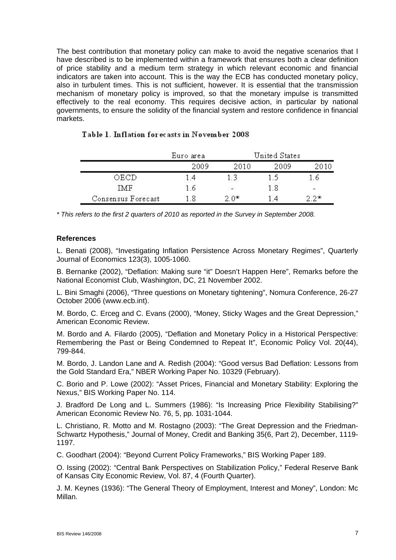The best contribution that monetary policy can make to avoid the negative scenarios that I have described is to be implemented within a framework that ensures both a clear definition of price stability and a medium term strategy in which relevant economic and financial indicators are taken into account. This is the way the ECB has conducted monetary policy, also in turbulent times. This is not sufficient, however. It is essential that the transmission mechanism of monetary policy is improved, so that the monetary impulse is transmitted effectively to the real economy. This requires decisive action, in particular by national governments, to ensure the solidity of the financial system and restore confidence in financial markets.

|                    | Euro area | United States |      |        |
|--------------------|-----------|---------------|------|--------|
|                    | 2009      | 2010          | 2009 | 2010   |
| OECD               | -4        |               | ר ו  | l. 6   |
| TMF                | 1.6       | 64)           | 1.8  | $\sim$ |
| Consensus Forecast | - 8       | 2 በ*          | 14   | つ*     |

### Table 1. Inflation for ecasts in November 2008

*\* This refers to the first 2 quarters of 2010 as reported in the Survey in September 2008.* 

#### **References**

L. Benati (2008), "Investigating Inflation Persistence Across Monetary Regimes", Quarterly Journal of Economics 123(3), 1005-1060.

B. Bernanke (2002), "Deflation: Making sure "it" Doesn't Happen Here", Remarks before the National Economist Club, Washington, DC, 21 November 2002.

L. Bini Smaghi (2006), "Three questions on Monetary tightening", Nomura Conference, 26-27 October 2006 (www.ecb.int).

M. Bordo, C. Erceg and C. Evans (2000), "Money, Sticky Wages and the Great Depression," American Economic Review.

M. Bordo and A. Filardo (2005), "Deflation and Monetary Policy in a Historical Perspective: Remembering the Past or Being Condemned to Repeat It", Economic Policy Vol. 20(44), 799-844.

M. Bordo, J. Landon Lane and A. Redish (2004): "Good versus Bad Deflation: Lessons from the Gold Standard Era," NBER Working Paper No. 10329 (February).

C. Borio and P. Lowe (2002): "Asset Prices, Financial and Monetary Stability: Exploring the Nexus," BIS Working Paper No. 114.

J. Bradford De Long and L. Summers (1986): "Is Increasing Price Flexibility Stabilising?" American Economic Review No. 76, 5, pp. 1031-1044.

L. Christiano, R. Motto and M. Rostagno (2003): "The Great Depression and the Friedman-Schwartz Hypothesis," Journal of Money, Credit and Banking 35(6, Part 2), December, 1119- 1197.

C. Goodhart (2004): "Beyond Current Policy Frameworks," BIS Working Paper 189.

O. Issing (2002): "Central Bank Perspectives on Stabilization Policy," Federal Reserve Bank of Kansas City Economic Review, Vol. 87, 4 (Fourth Quarter).

J. M. Keynes (1936): "The General Theory of Employment, Interest and Money", London: Mc Millan.